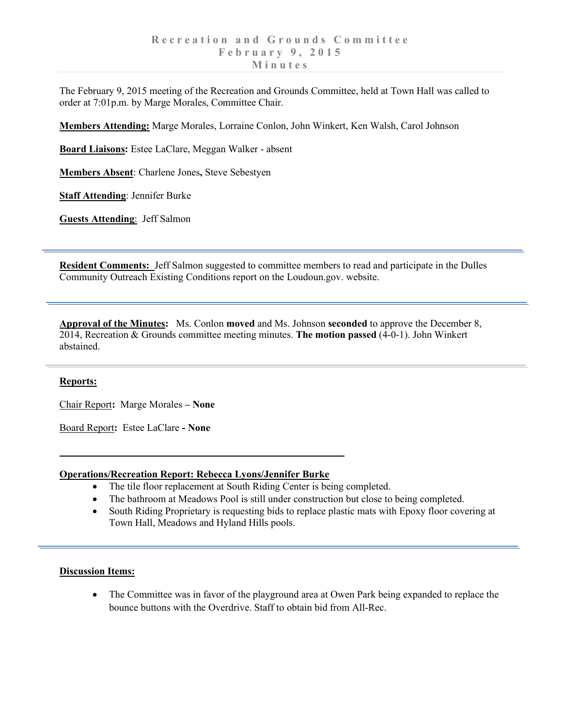The February 9, 2015 meeting of the Recreation and Grounds Committee, held at Town Hall was called to order at 7:01p.m. by Marge Morales, Committee Chair.

**Members Attending:** Marge Morales, Lorraine Conlon, John Winkert, Ken Walsh, Carol Johnson

**Board Liaisons:** Estee LaClare, Meggan Walker - absent

**Members Absent**: Charlene Jones**,** Steve Sebestyen

**Staff Attending**: Jennifer Burke

**Guests Attending**: Jeff Salmon

**Resident Comments:** Jeff Salmon suggested to committee members to read and participate in the Dulles Community Outreach Existing Conditions report on the Loudoun.gov. website.

**Approval of the Minutes:** Ms. Conlon **moved** and Ms. Johnson **seconded** to approve the December 8, 2014, Recreation & Grounds committee meeting minutes. **The motion passed** (4-0-1). John Winkert abstained.

## **Reports:**

Chair Report**:** Marge Morales **– None** 

Board Report**:** Estee LaClare **- None**

## **Operations/Recreation Report: Rebecca Lyons/Jennifer Burke**

- The tile floor replacement at South Riding Center is being completed.
- The bathroom at Meadows Pool is still under construction but close to being completed.
- South Riding Proprietary is requesting bids to replace plastic mats with Epoxy floor covering at Town Hall, Meadows and Hyland Hills pools.

## **Discussion Items:**

• The Committee was in favor of the playground area at Owen Park being expanded to replace the bounce buttons with the Overdrive. Staff to obtain bid from All-Rec.